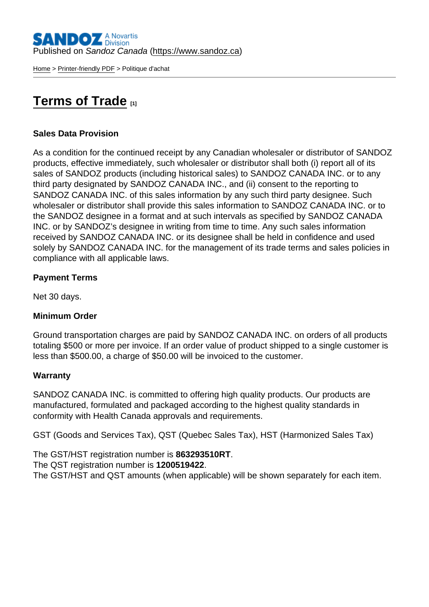[Home](https://www.sandoz.ca/en) > [Printer-friendly PDF](https://www.sandoz.ca/en/printpdf) > Politique d'achat

# [Terms of Trade](https://www.sandoz.ca/en/terms-trade) [1]

### Sales Data Provision

As a condition for the continued receipt by any Canadian wholesaler or distributor of SANDOZ products, effective immediately, such wholesaler or distributor shall both (i) report all of its sales of SANDOZ products (including historical sales) to SANDOZ CANADA INC. or to any third party designated by SANDOZ CANADA INC., and (ii) consent to the reporting to SANDOZ CANADA INC. of this sales information by any such third party designee. Such wholesaler or distributor shall provide this sales information to SANDOZ CANADA INC. or to the SANDOZ designee in a format and at such intervals as specified by SANDOZ CANADA INC. or by SANDOZ's designee in writing from time to time. Any such sales information received by SANDOZ CANADA INC. or its designee shall be held in confidence and used solely by SANDOZ CANADA INC. for the management of its trade terms and sales policies in compliance with all applicable laws.

Payment Terms

Net 30 days.

Minimum Order

Ground transportation charges are paid by SANDOZ CANADA INC. on orders of all products totaling \$500 or more per invoice. If an order value of product shipped to a single customer is less than \$500.00, a charge of \$50.00 will be invoiced to the customer.

### **Warranty**

SANDOZ CANADA INC. is committed to offering high quality products. Our products are manufactured, formulated and packaged according to the highest quality standards in conformity with Health Canada approvals and requirements.

GST (Goods and Services Tax), QST (Quebec Sales Tax), HST (Harmonized Sales Tax)

The GST/HST registration number is 863293510RT. The QST registration number is 1200519422. The GST/HST and QST amounts (when applicable) will be shown separately for each item.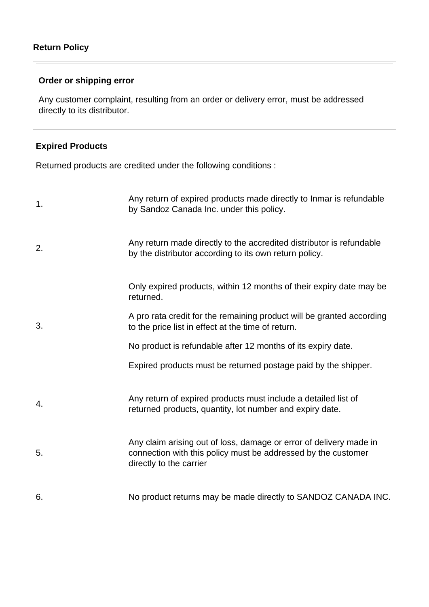## **Order or shipping error**

Any customer complaint, resulting from an order or delivery error, must be addressed directly to its distributor.

### **Expired Products**

Returned products are credited under the following conditions :

| 1. | Any return of expired products made directly to Inmar is refundable<br>by Sandoz Canada Inc. under this policy.                                                |
|----|----------------------------------------------------------------------------------------------------------------------------------------------------------------|
| 2. | Any return made directly to the accredited distributor is refundable<br>by the distributor according to its own return policy.                                 |
|    | Only expired products, within 12 months of their expiry date may be<br>returned.                                                                               |
| 3. | A pro rata credit for the remaining product will be granted according<br>to the price list in effect at the time of return.                                    |
|    | No product is refundable after 12 months of its expiry date.                                                                                                   |
|    | Expired products must be returned postage paid by the shipper.                                                                                                 |
| 4. | Any return of expired products must include a detailed list of<br>returned products, quantity, lot number and expiry date.                                     |
| 5. | Any claim arising out of loss, damage or error of delivery made in<br>connection with this policy must be addressed by the customer<br>directly to the carrier |
| 6. | No product returns may be made directly to SANDOZ CANADA INC.                                                                                                  |